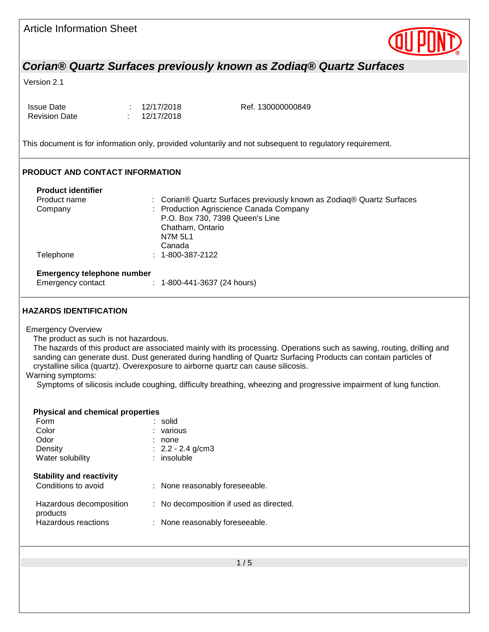| <b>Article Information Sheet</b>                                                        |                                     |                                                                                                                                                                                                                                                                                                                                                                                                                                                        |  |
|-----------------------------------------------------------------------------------------|-------------------------------------|--------------------------------------------------------------------------------------------------------------------------------------------------------------------------------------------------------------------------------------------------------------------------------------------------------------------------------------------------------------------------------------------------------------------------------------------------------|--|
|                                                                                         |                                     | Corian® Quartz Surfaces previously known as Zodiaq® Quartz Surfaces                                                                                                                                                                                                                                                                                                                                                                                    |  |
| Version 2.1                                                                             |                                     |                                                                                                                                                                                                                                                                                                                                                                                                                                                        |  |
|                                                                                         |                                     |                                                                                                                                                                                                                                                                                                                                                                                                                                                        |  |
| <b>Issue Date</b><br><b>Revision Date</b>                                               | 12/17/2018<br>12/17/2018            | Ref. 130000000849                                                                                                                                                                                                                                                                                                                                                                                                                                      |  |
|                                                                                         |                                     | This document is for information only, provided voluntarily and not subsequent to regulatory requirement.                                                                                                                                                                                                                                                                                                                                              |  |
| <b>PRODUCT AND CONTACT INFORMATION</b>                                                  |                                     |                                                                                                                                                                                                                                                                                                                                                                                                                                                        |  |
| <b>Product identifier</b>                                                               |                                     |                                                                                                                                                                                                                                                                                                                                                                                                                                                        |  |
| Product name                                                                            |                                     | : Corian® Quartz Surfaces previously known as Zodiaq® Quartz Surfaces                                                                                                                                                                                                                                                                                                                                                                                  |  |
| Company                                                                                 |                                     | Production Agriscience Canada Company<br>P.O. Box 730, 7398 Queen's Line                                                                                                                                                                                                                                                                                                                                                                               |  |
|                                                                                         | Chatham, Ontario                    |                                                                                                                                                                                                                                                                                                                                                                                                                                                        |  |
|                                                                                         | <b>N7M 5L1</b>                      |                                                                                                                                                                                                                                                                                                                                                                                                                                                        |  |
|                                                                                         | Canada                              |                                                                                                                                                                                                                                                                                                                                                                                                                                                        |  |
| Telephone                                                                               | $: 1 - 800 - 387 - 2122$            |                                                                                                                                                                                                                                                                                                                                                                                                                                                        |  |
| <b>Emergency telephone number</b>                                                       |                                     |                                                                                                                                                                                                                                                                                                                                                                                                                                                        |  |
| Emergency contact                                                                       | $: 1 - 800 - 441 - 3637$ (24 hours) |                                                                                                                                                                                                                                                                                                                                                                                                                                                        |  |
| <b>Emergency Overview</b><br>The product as such is not hazardous.<br>Warning symptoms: |                                     | The hazards of this product are associated mainly with its processing. Operations such as sawing, routing, drilling and<br>sanding can generate dust. Dust generated during handling of Quartz Surfacing Products can contain particles of<br>crystalline silica (quartz). Overexposure to airborne quartz can cause silicosis.<br>Symptoms of silicosis include coughing, difficulty breathing, wheezing and progressive impairment of lung function. |  |
|                                                                                         |                                     |                                                                                                                                                                                                                                                                                                                                                                                                                                                        |  |
| <b>Physical and chemical properties</b><br>Form                                         |                                     |                                                                                                                                                                                                                                                                                                                                                                                                                                                        |  |
| Color                                                                                   | solid<br>various                    |                                                                                                                                                                                                                                                                                                                                                                                                                                                        |  |
| Odor                                                                                    | none                                |                                                                                                                                                                                                                                                                                                                                                                                                                                                        |  |
| Density                                                                                 | $2.2 - 2.4$ g/cm3                   |                                                                                                                                                                                                                                                                                                                                                                                                                                                        |  |
| Water solubility                                                                        | insoluble                           |                                                                                                                                                                                                                                                                                                                                                                                                                                                        |  |
| <b>Stability and reactivity</b>                                                         |                                     |                                                                                                                                                                                                                                                                                                                                                                                                                                                        |  |
| Conditions to avoid                                                                     |                                     | None reasonably foreseeable.                                                                                                                                                                                                                                                                                                                                                                                                                           |  |
| Hazardous decomposition<br>products                                                     |                                     | No decomposition if used as directed.                                                                                                                                                                                                                                                                                                                                                                                                                  |  |
| Hazardous reactions                                                                     |                                     | None reasonably foreseeable.                                                                                                                                                                                                                                                                                                                                                                                                                           |  |
|                                                                                         |                                     |                                                                                                                                                                                                                                                                                                                                                                                                                                                        |  |
|                                                                                         |                                     | 1/5                                                                                                                                                                                                                                                                                                                                                                                                                                                    |  |
|                                                                                         |                                     |                                                                                                                                                                                                                                                                                                                                                                                                                                                        |  |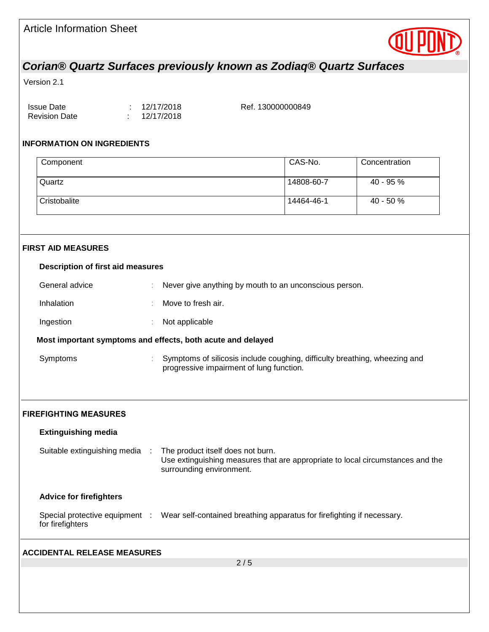

# *Corian® Quartz Surfaces previously known as Zodiaq® Quartz Surfaces*

# Version 2.1

| Issue Date           | : 12/17/2018 | Ref. 130000000849 |
|----------------------|--------------|-------------------|
| <b>Revision Date</b> | : 12/17/2018 |                   |

# **INFORMATION ON INGREDIENTS**

| Component                                |                |                                                                                                                                                 | CAS-No.    | Concentration |  |  |  |
|------------------------------------------|----------------|-------------------------------------------------------------------------------------------------------------------------------------------------|------------|---------------|--|--|--|
| Quartz                                   |                |                                                                                                                                                 | 14808-60-7 | 40 - 95 %     |  |  |  |
| Cristobalite                             |                |                                                                                                                                                 | 14464-46-1 | 40 - 50 %     |  |  |  |
|                                          |                |                                                                                                                                                 |            |               |  |  |  |
| <b>FIRST AID MEASURES</b>                |                |                                                                                                                                                 |            |               |  |  |  |
| <b>Description of first aid measures</b> |                |                                                                                                                                                 |            |               |  |  |  |
| General advice                           |                | Never give anything by mouth to an unconscious person.                                                                                          |            |               |  |  |  |
| Inhalation                               |                | Move to fresh air.                                                                                                                              |            |               |  |  |  |
| Ingestion                                |                | Not applicable                                                                                                                                  |            |               |  |  |  |
|                                          |                | Most important symptoms and effects, both acute and delayed                                                                                     |            |               |  |  |  |
| Symptoms                                 |                | Symptoms of silicosis include coughing, difficulty breathing, wheezing and<br>progressive impairment of lung function.                          |            |               |  |  |  |
| <b>FIREFIGHTING MEASURES</b>             |                |                                                                                                                                                 |            |               |  |  |  |
| <b>Extinguishing media</b>               |                |                                                                                                                                                 |            |               |  |  |  |
| Suitable extinguishing media             | $\mathbb{R}^2$ | The product itself does not burn.<br>Use extinguishing measures that are appropriate to local circumstances and the<br>surrounding environment. |            |               |  |  |  |
| <b>Advice for firefighters</b>           |                |                                                                                                                                                 |            |               |  |  |  |
| for firefighters                         |                | Special protective equipment : Wear self-contained breathing apparatus for firefighting if necessary.                                           |            |               |  |  |  |
| <b>ACCIDENTAL RELEASE MEASURES</b>       |                |                                                                                                                                                 |            |               |  |  |  |
|                                          |                | 2/5                                                                                                                                             |            |               |  |  |  |
|                                          |                |                                                                                                                                                 |            |               |  |  |  |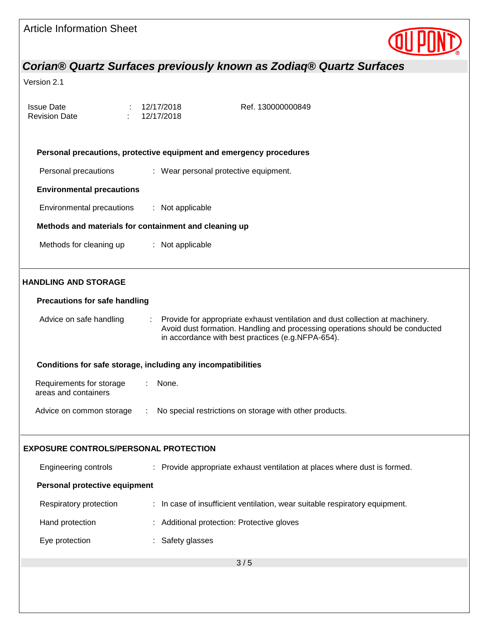| <b>Article Information Sheet</b>                             |                          |                                                                                                                                                                                                                    |  |
|--------------------------------------------------------------|--------------------------|--------------------------------------------------------------------------------------------------------------------------------------------------------------------------------------------------------------------|--|
|                                                              |                          | Corian® Quartz Surfaces previously known as Zodiaq® Quartz Surfaces                                                                                                                                                |  |
| Version 2.1                                                  |                          |                                                                                                                                                                                                                    |  |
| <b>Issue Date</b><br><b>Revision Date</b>                    | 12/17/2018<br>12/17/2018 | Ref. 130000000849                                                                                                                                                                                                  |  |
|                                                              |                          | Personal precautions, protective equipment and emergency procedures                                                                                                                                                |  |
| Personal precautions                                         |                          | : Wear personal protective equipment.                                                                                                                                                                              |  |
| <b>Environmental precautions</b>                             |                          |                                                                                                                                                                                                                    |  |
| Environmental precautions                                    | : Not applicable         |                                                                                                                                                                                                                    |  |
| Methods and materials for containment and cleaning up        |                          |                                                                                                                                                                                                                    |  |
| Methods for cleaning up                                      | : Not applicable         |                                                                                                                                                                                                                    |  |
| <b>HANDLING AND STORAGE</b>                                  |                          |                                                                                                                                                                                                                    |  |
| <b>Precautions for safe handling</b>                         |                          |                                                                                                                                                                                                                    |  |
| Advice on safe handling                                      | ÷.                       | Provide for appropriate exhaust ventilation and dust collection at machinery.<br>Avoid dust formation. Handling and processing operations should be conducted<br>in accordance with best practices (e.g.NFPA-654). |  |
| Conditions for safe storage, including any incompatibilities |                          |                                                                                                                                                                                                                    |  |
| Requirements for storage<br>areas and containers             | None.                    |                                                                                                                                                                                                                    |  |
| Advice on common storage                                     | ÷                        | No special restrictions on storage with other products.                                                                                                                                                            |  |
| <b>EXPOSURE CONTROLS/PERSONAL PROTECTION</b>                 |                          |                                                                                                                                                                                                                    |  |
| Engineering controls                                         |                          | : Provide appropriate exhaust ventilation at places where dust is formed.                                                                                                                                          |  |
| Personal protective equipment                                |                          |                                                                                                                                                                                                                    |  |
| Respiratory protection                                       |                          | : In case of insufficient ventilation, wear suitable respiratory equipment.                                                                                                                                        |  |
| Hand protection                                              |                          | : Additional protection: Protective gloves                                                                                                                                                                         |  |
| Eye protection                                               | : Safety glasses         |                                                                                                                                                                                                                    |  |
|                                                              |                          | 3/5                                                                                                                                                                                                                |  |
|                                                              |                          |                                                                                                                                                                                                                    |  |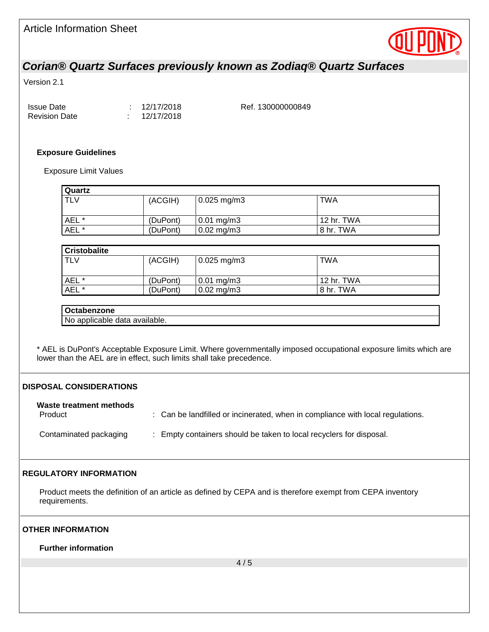

# *Corian® Quartz Surfaces previously known as Zodiaq® Quartz Surfaces*

Version 2.1

| <b>Issue Date</b>    | : 12/17/2018 | Ref. 130000000849 |
|----------------------|--------------|-------------------|
| <b>Revision Date</b> | : 12/17/2018 |                   |

#### **Exposure Guidelines**

Exposure Limit Values

| <b>Quartz</b> |          |                         |            |
|---------------|----------|-------------------------|------------|
| <b>TLV</b>    | (ACGIH)  | $0.025$ mg/m3           | TWA        |
|               |          |                         |            |
| AEL *         | (DuPont) | $0.01 \,\mathrm{mg/m3}$ | 12 hr. TWA |
| AEL *         | (DuPont) | $0.02 \,\mathrm{mg/m3}$ | 8 hr. TWA  |

| <b>Cristobalite</b> |          |                         |            |
|---------------------|----------|-------------------------|------------|
| l TLV               | (ACGIH)  | $0.025$ mg/m3           | TWA        |
|                     |          |                         |            |
| AEL <sup>*</sup>    | (DuPont) | $0.01 \,\mathrm{mg/m3}$ | 12 hr. TWA |
| AEL *               | (DuPont) | $0.02 \,\mathrm{mg/m3}$ | 8 hr. TWA  |

### **Octabenzone**

No applicable data available.

\* AEL is DuPont's Acceptable Exposure Limit. Where governmentally imposed occupational exposure limits which are lower than the AEL are in effect, such limits shall take precedence.

#### **DISPOSAL CONSIDERATIONS**

#### **Waste treatment methods**

Product **State of the landfilled or incinerated, when in compliance with local regulations.** Contaminated packaging : Empty containers should be taken to local recyclers for disposal.

# **REGULATORY INFORMATION**

Product meets the definition of an article as defined by CEPA and is therefore exempt from CEPA inventory requirements.

#### **OTHER INFORMATION**

**Further information**